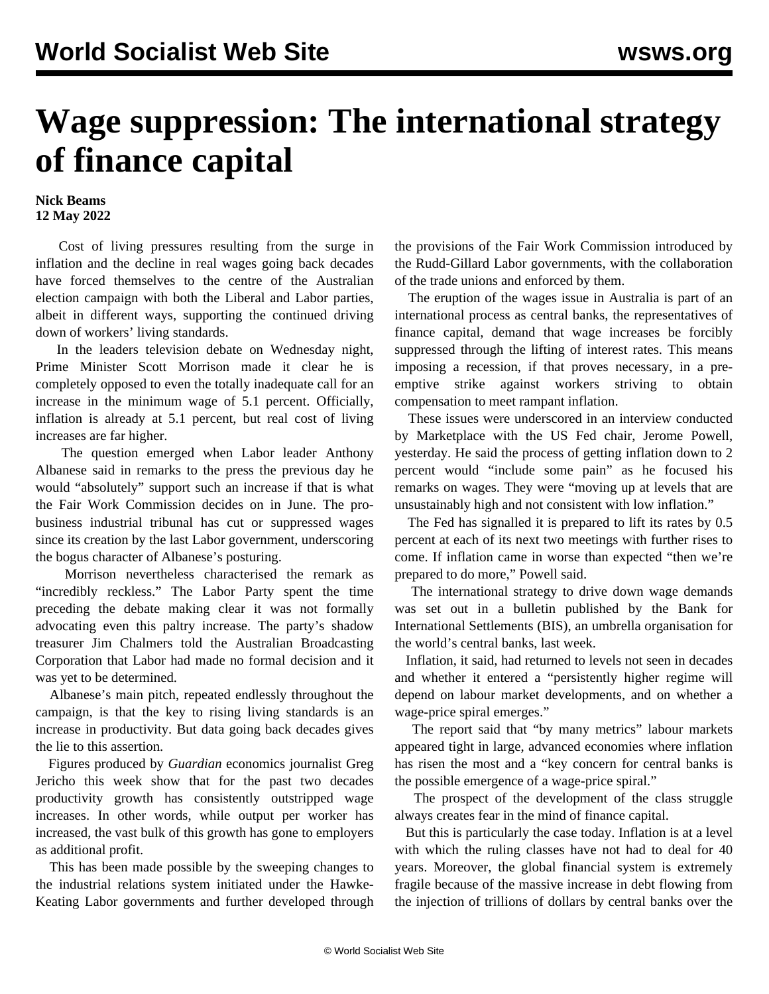## **Wage suppression: The international strategy of finance capital**

## **Nick Beams 12 May 2022**

 Cost of living pressures resulting from the surge in inflation and the decline in real wages going back decades have forced themselves to the centre of the Australian election campaign with both the Liberal and Labor parties, albeit in different ways, supporting the continued driving down of workers' living standards.

 In the leaders television debate on Wednesday night, Prime Minister Scott Morrison made it clear he is completely opposed to even the totally inadequate call for an increase in the minimum wage of 5.1 percent. Officially, inflation is already at 5.1 percent, but real cost of living increases are far higher.

 The question emerged when Labor leader Anthony Albanese said in remarks to the press the previous day he would "absolutely" support such an increase if that is what the Fair Work Commission decides on in June. The probusiness industrial tribunal has cut or suppressed wages since its creation by the last Labor government, underscoring the bogus character of Albanese's posturing.

 Morrison nevertheless characterised the remark as "incredibly reckless." The Labor Party spent the time preceding the debate making clear it was not formally advocating even this paltry increase. The party's shadow treasurer Jim Chalmers told the Australian Broadcasting Corporation that Labor had made no formal decision and it was yet to be determined.

 Albanese's main pitch, repeated endlessly throughout the campaign, is that the key to rising living standards is an increase in productivity. But data going back decades gives the lie to this assertion.

 Figures produced by *Guardian* economics journalist Greg Jericho this week show that for the past two decades productivity growth has consistently outstripped wage increases. In other words, while output per worker has increased, the vast bulk of this growth has gone to employers as additional profit.

 This has been made possible by the sweeping changes to the industrial relations system initiated under the Hawke-Keating Labor governments and further developed through the provisions of the Fair Work Commission introduced by the Rudd-Gillard Labor governments, with the collaboration of the trade unions and enforced by them.

 The eruption of the wages issue in Australia is part of an international process as central banks, the representatives of finance capital, demand that wage increases be forcibly suppressed through the lifting of interest rates. This means imposing a recession, if that proves necessary, in a preemptive strike against workers striving to obtain compensation to meet rampant inflation.

 These issues were underscored in an interview conducted by Marketplace with the US Fed chair, Jerome Powell, yesterday. He said the process of getting inflation down to 2 percent would "include some pain" as he focused his remarks on wages. They were "moving up at levels that are unsustainably high and not consistent with low inflation."

 The Fed has signalled it is prepared to lift its rates by 0.5 percent at each of its next two meetings with further rises to come. If inflation came in worse than expected "then we're prepared to do more," Powell said.

 The international strategy to drive down wage demands was set out in a bulletin published by the Bank for International Settlements (BIS), an umbrella organisation for the world's central banks, last week.

 Inflation, it said, had returned to levels not seen in decades and whether it entered a "persistently higher regime will depend on labour market developments, and on whether a wage-price spiral emerges."

 The report said that "by many metrics" labour markets appeared tight in large, advanced economies where inflation has risen the most and a "key concern for central banks is the possible emergence of a wage-price spiral."

 The prospect of the development of the class struggle always creates fear in the mind of finance capital.

 But this is particularly the case today. Inflation is at a level with which the ruling classes have not had to deal for 40 years. Moreover, the global financial system is extremely fragile because of the massive increase in debt flowing from the injection of trillions of dollars by central banks over the